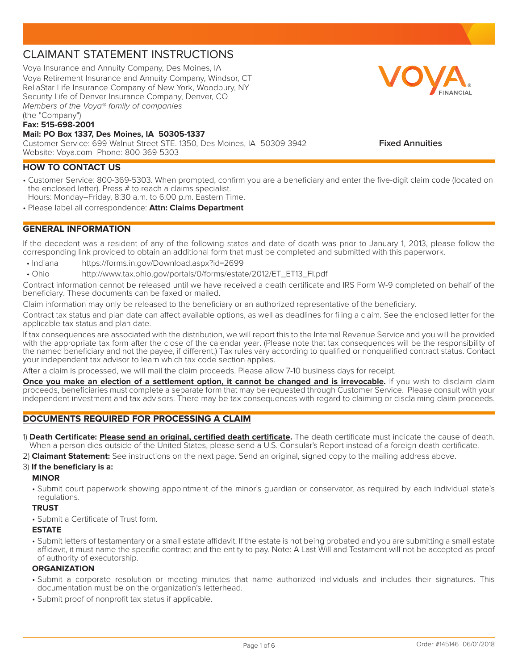# CLAIMANT STATEMENT INSTRUCTIONS

Voya Insurance and Annuity Company, Des Moines, IA Voya Retirement Insurance and Annuity Company, Windsor, CT ReliaStar Life Insurance Company of New York, Woodbury, NY Security Life of Denver Insurance Company, Denver, CO Members of the Voya® family of companies (the "Company")

#### **Fax: 515-698-2001**

#### **Mail: PO Box 1337, Des Moines, IA 50305-1337**

Customer Service: 699 Walnut Street STE. 1350, Des Moines, IA 50309-3942 Website: Voya.com Phone: 800-369-5303

# **HOW TO CONTACT US**

- Customer Service: 800-369-5303. When prompted, confirm you are a beneficiary and enter the five-digit claim code (located on the enclosed letter). Press # to reach a claims specialist. Hours: Monday–Friday, 8:30 a.m. to 6:00 p.m. Eastern Time.
- Please label all correspondence: **Attn: Claims Department**

# **GENERAL INFORMATION**

If the decedent was a resident of any of the following states and date of death was prior to January 1, 2013, please follow the corresponding link provided to obtain an additional form that must be completed and submitted with this paperwork.

- Indiana https://forms.in.gov/Download.aspx?id=2699
- • Ohio http://www.tax.ohio.gov/portals/0/forms/estate/2012/ET\_ET13\_FI.pdf

Contract information cannot be released until we have received a death certificate and IRS Form W-9 completed on behalf of the beneficiary. These documents can be faxed or mailed.

Claim information may only be released to the beneficiary or an authorized representative of the beneficiary.

Contract tax status and plan date can affect available options, as well as deadlines for filing a claim. See the enclosed letter for the applicable tax status and plan date.

If tax consequences are associated with the distribution, we will report this to the Internal Revenue Service and you will be provided with the appropriate tax form after the close of the calendar year. (Please note that tax consequences will be the responsibility of the named beneficiary and not the payee, if different.) Tax rules vary according to qualified or nonqualified contract status. Contact your independent tax advisor to learn which tax code section applies.

After a claim is processed, we will mail the claim proceeds. Please allow 7-10 business days for receipt.

**Once you make an election of a settlement option, it cannot be changed and is irrevocable.** If you wish to disclaim claim proceeds, beneficiaries must complete a separate form that may be requested through Customer Service. Please consult with your independent investment and tax advisors. There may be tax consequences with regard to claiming or disclaiming claim proceeds.

# **DOCUMENTS REQUIRED FOR PROCESSING A CLAIM**

1) **Death Certificate: Please send an original, certified death certificate.** The death certificate must indicate the cause of death. When a person dies outside of the United States, please send a U.S. Consular's Report instead of a foreign death certificate.

2) **Claimant Statement:** See instructions on the next page. Send an original, signed copy to the mailing address above.

### 3) **If the beneficiary is a:**

#### **MINOR**

• Submit court paperwork showing appointment of the minor's guardian or conservator, as required by each individual state's regulations.

# **TRUST**

• Submit a Certificate of Trust form.

### **ESTATE**

• Submit letters of testamentary or a small estate affidavit. If the estate is not being probated and you are submitting a small estate affidavit, it must name the specific contract and the entity to pay. Note: A Last Will and Testament will not be accepted as proof of authority of executorship.

### **ORGANIZATION**

- Submit a corporate resolution or meeting minutes that name authorized individuals and includes their signatures. This documentation must be on the organization's letterhead.
- Submit proof of nonprofit tax status if applicable.



### **Fixed Annuities**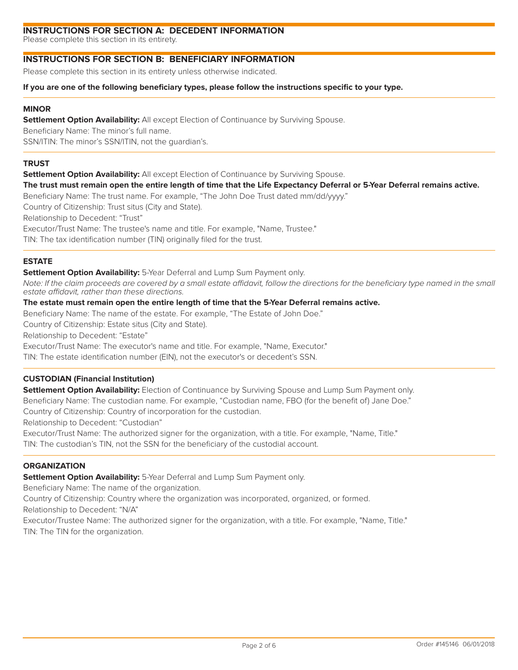# **INSTRUCTIONS FOR SECTION A: DECEDENT INFORMATION**

Please complete this section in its entirety.

# **INSTRUCTIONS FOR SECTION B: BENEFICIARY INFORMATION**

Please complete this section in its entirety unless otherwise indicated.

#### **If you are one of the following beneficiary types, please follow the instructions specific to your type.**

### **MINOR**

**Settlement Option Availability:** All except Election of Continuance by Surviving Spouse.

Beneficiary Name: The minor's full name.

SSN/ITIN: The minor's SSN/ITIN, not the guardian's.

### **TRUST**

**Settlement Option Availability:** All except Election of Continuance by Surviving Spouse.

### **The trust must remain open the entire length of time that the Life Expectancy Deferral or 5-Year Deferral remains active.**

Beneficiary Name: The trust name. For example, "The John Doe Trust dated mm/dd/yyyy."

Country of Citizenship: Trust situs (City and State).

Relationship to Decedent: "Trust"

Executor/Trust Name: The trustee's name and title. For example, "Name, Trustee."

TIN: The tax identification number (TIN) originally filed for the trust.

### **ESTATE**

**Settlement Option Availability:** 5-Year Deferral and Lump Sum Payment only.

Note: If the claim proceeds are covered by a small estate affidavit, follow the directions for the beneficiary type named in the small estate affidavit, rather than these directions.

### **The estate must remain open the entire length of time that the 5-Year Deferral remains active.**

Beneficiary Name: The name of the estate. For example, "The Estate of John Doe."

Country of Citizenship: Estate situs (City and State).

Relationship to Decedent: "Estate"

Executor/Trust Name: The executor's name and title. For example, "Name, Executor."

TIN: The estate identification number (EIN), not the executor's or decedent's SSN.

# **CUSTODIAN (Financial Institution)**

**Settlement Option Availability:** Election of Continuance by Surviving Spouse and Lump Sum Payment only. Beneficiary Name: The custodian name. For example, "Custodian name, FBO (for the benefit of) Jane Doe." Country of Citizenship: Country of incorporation for the custodian.

Relationship to Decedent: "Custodian"

Executor/Trust Name: The authorized signer for the organization, with a title. For example, "Name, Title." TIN: The custodian's TIN, not the SSN for the beneficiary of the custodial account.

# **ORGANIZATION**

**Settlement Option Availability:** 5-Year Deferral and Lump Sum Payment only.

Beneficiary Name: The name of the organization.

Country of Citizenship: Country where the organization was incorporated, organized, or formed.

Relationship to Decedent: "N/A"

Executor/Trustee Name: The authorized signer for the organization, with a title. For example, "Name, Title." TIN: The TIN for the organization.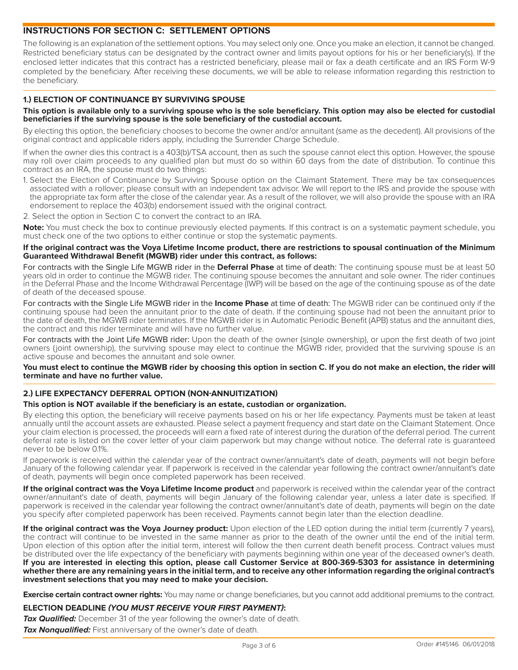# **INSTRUCTIONS FOR SECTION C: SETTLEMENT OPTIONS**

The following is an explanation of the settlement options. You may select only one. Once you make an election, it cannot be changed. Restricted beneficiary status can be designated by the contract owner and limits payout options for his or her beneficiary(s). If the enclosed letter indicates that this contract has a restricted beneficiary, please mail or fax a death certificate and an IRS Form W-9 completed by the beneficiary. After receiving these documents, we will be able to release information regarding this restriction to the beneficiary.

# **1.) ELECTION OF CONTINUANCE BY SURVIVING SPOUSE**

#### **This option is available only to a surviving spouse who is the sole beneficiary. This option may also be elected for custodial beneficiaries if the surviving spouse is the sole beneficiary of the custodial account.**

By electing this option, the beneficiary chooses to become the owner and/or annuitant (same as the decedent). All provisions of the original contract and applicable riders apply, including the Surrender Charge Schedule.

If when the owner dies this contract is a 403(b)/TSA account, then as such the spouse cannot elect this option. However, the spouse may roll over claim proceeds to any qualified plan but must do so within 60 days from the date of distribution. To continue this contract as an IRA, the spouse must do two things:

- 1. Select the Election of Continuance by Surviving Spouse option on the Claimant Statement. There may be tax consequences associated with a rollover; please consult with an independent tax advisor. We will report to the IRS and provide the spouse with the appropriate tax form after the close of the calendar year. As a result of the rollover, we will also provide the spouse with an IRA endorsement to replace the 403(b) endorsement issued with the original contract.
- 2. Select the option in Section C to convert the contract to an IRA.

**Note:** You must check the box to continue previously elected payments. If this contract is on a systematic payment schedule, you must check one of the two options to either continue or stop the systematic payments.

#### **If the original contract was the Voya Lifetime Income product, there are restrictions to spousal continuation of the Minimum Guaranteed Withdrawal Benefit (MGWB) rider under this contract, as follows:**

For contracts with the Single Life MGWB rider in the Deferral Phase at time of death: The continuing spouse must be at least 50 years old in order to continue the MGWB rider. The continuing spouse becomes the annuitant and sole owner. The rider continues in the Deferral Phase and the Income Withdrawal Percentage (IWP) will be based on the age of the continuing spouse as of the date of death of the deceased spouse.

For contracts with the Single Life MGWB rider in the **Income Phase** at time of death: The MGWB rider can be continued only if the continuing spouse had been the annuitant prior to the date of death. If the continuing spouse had not been the annuitant prior to the date of death, the MGWB rider terminates. If the MGWB rider is in Automatic Periodic Benefit (APB) status and the annuitant dies, the contract and this rider terminate and will have no further value.

For contracts with the Joint Life MGWB rider: Upon the death of the owner (single ownership), or upon the first death of two joint owners (joint ownership), the surviving spouse may elect to continue the MGWB rider, provided that the surviving spouse is an active spouse and becomes the annuitant and sole owner.

**You must elect to continue the MGWB rider by choosing this option in section C. If you do not make an election, the rider will terminate and have no further value.**

# **2.) LIFE EXPECTANCY DEFERRAL OPTION (NON-ANNUITIZATION)**

### **This option is NOT available if the beneficiary is an estate, custodian or organization.**

By electing this option, the beneficiary will receive payments based on his or her life expectancy. Payments must be taken at least annually until the account assets are exhausted. Please select a payment frequency and start date on the Claimant Statement. Once your claim election is processed, the proceeds will earn a fixed rate of interest during the duration of the deferral period. The current deferral rate is listed on the cover letter of your claim paperwork but may change without notice. The deferral rate is quaranteed never to be below 0.1%.

If paperwork is received within the calendar year of the contract owner/annuitant's date of death, payments will not begin before January of the following calendar year. If paperwork is received in the calendar year following the contract owner/annuitant's date of death, payments will begin once completed paperwork has been received.

If the original contract was the Voya Lifetime Income product and paperwork is received within the calendar year of the contract owner/annuitant's date of death, payments will begin January of the following calendar year, unless a later date is specified. If paperwork is received in the calendar year following the contract owner/annuitant's date of death, payments will begin on the date you specify after completed paperwork has been received. Payments cannot begin later than the election deadline.

**If the original contract was the Voya Journey product:** Upon election of the LED option during the initial term (currently 7 years), the contract will continue to be invested in the same manner as prior to the death of the owner until the end of the initial term. Upon election of this option after the initial term, interest will follow the then current death benefit process. Contract values must be distributed over the life expectancy of the beneficiary with payments beginning within one year of the deceased owner's death. **If you are interested in electing this option, please call Customer Service at 800-369-5303 for assistance in determining whether there are any remaining years in the initial term, and to receive any other information regarding the original contract's investment selections that you may need to make your decision.**

**Exercise certain contract owner rights:** You may name or change beneficiaries, but you cannot add additional premiums to the contract.

### **ELECTION DEADLINE (YOU MUST RECEIVE YOUR FIRST PAYMENT):**

**Tax Qualified:** December 31 of the year following the owner's date of death. **Tax Nonqualified:** First anniversary of the owner's date of death.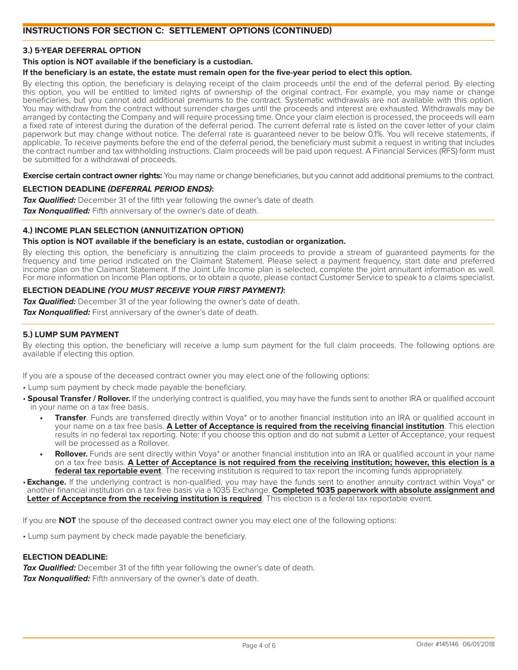# **INSTRUCTIONS FOR SECTION C: SETTLEMENT OPTIONS (CONTINUED)**

### **3.) 5-YEAR DEFERRAL OPTION**

#### **This option is NOT available if the beneficiary is a custodian.**

#### **If the beneficiary is an estate, the estate must remain open for the five-year period to elect this option.**

By electing this option, the beneficiary is delaying receipt of the claim proceeds until the end of the deferral period. By electing this option, you will be entitled to limited rights of ownership of the original contract. For example, you may name or change beneficiaries, but you cannot add additional premiums to the contract. Systematic withdrawals are not available with this option. You may withdraw from the contract without surrender charges until the proceeds and interest are exhausted. Withdrawals may be arranged by contacting the Company and will require processing time. Once your claim election is processed, the proceeds will earn a fixed rate of interest during the duration of the deferral period. The current deferral rate is listed on the cover letter of your claim paperwork but may change without notice. The deferral rate is quaranteed never to be below 0.1%. You will receive statements, if applicable. To receive payments before the end of the deferral period, the beneficiary must submit a request in writing that includes the contract number and tax withholding instructions. Claim proceeds will be paid upon request. A Financial Services (RFS) form must be submitted for a withdrawal of proceeds.

**Exercise certain contract owner rights:** You may name or change beneficiaries, but you cannot add additional premiums to the contract.

#### **ELECTION DEADLINE (DEFERRAL PERIOD ENDS):**

**Tax Qualified:** December 31 of the fifth year following the owner's date of death. Tax Nonqualified: Fifth anniversary of the owner's date of death.

### **4.) INCOME PLAN SELECTION (ANNUITIZATION OPTION)**

#### **This option is NOT available if the beneficiary is an estate, custodian or organization.**

By electing this option, the beneficiary is annuitizing the claim proceeds to provide a stream of quaranteed payments for the frequency and time period indicated on the Claimant Statement. Please select a payment frequency, start date and preferred income plan on the Claimant Statement. If the Joint Life Income plan is selected, complete the joint annuitant information as well. For more information on Income Plan options, or to obtain a quote, please contact Customer Service to speak to a claims specialist.

### **ELECTION DEADLINE (YOU MUST RECEIVE YOUR FIRST PAYMENT):**

**Tax Qualified:** December 31 of the year following the owner's date of death.

**Tax Nonqualified:** First anniversary of the owner's date of death.

#### **5.) LUMP SUM PAYMENT**

By electing this option, the beneficiary will receive a lump sum payment for the full claim proceeds. The following options are available if electing this option.

If you are a spouse of the deceased contract owner you may elect one of the following options:

• Lump sum payment by check made payable the beneficiary.

- **Spousal Transfer / Rollover.** If the underlying contract is qualified, you may have the funds sent to another IRA or qualified account in your name on a tax free basis.
	- **Transfer**. Funds are transferred directly within Voya<sup>\*</sup> or to another financial institution into an IRA or qualified account in your name on a tax free basis. **A Letter of Acceptance is required from the receiving financial institution**. This election results in no federal tax reporting. Note: if you choose this option and do not submit a Letter of Acceptance, your request will be processed as a Rollover.
	- **Rollover.** Funds are sent directly within Voya<sup>\*</sup> or another financial institution into an IRA or qualified account in your name on a tax free basis. **A Letter of Acceptance is not required from the receiving institution; however, this election is a federal tax reportable event**. The receiving institution is required to tax report the incoming funds appropriately.

• **Exchange.** If the underlying contract is non-qualified, you may have the funds sent to another annuity contract within Voya<sup>\*</sup> or another financial institution on a tax free basis via a 1035 Exchange. **Completed 1035 paperwork with absolute assignment and Letter of Acceptance from the receiving institution is required**. This election is a federal tax reportable event.

If you are **NOT** the spouse of the deceased contract owner you may elect one of the following options:

• Lump sum payment by check made payable the beneficiary.

#### **ELECTION DEADLINE:**

**Tax Qualified:** December 31 of the fifth year following the owner's date of death.

**Tax Nonqualified:** Fifth anniversary of the owner's date of death.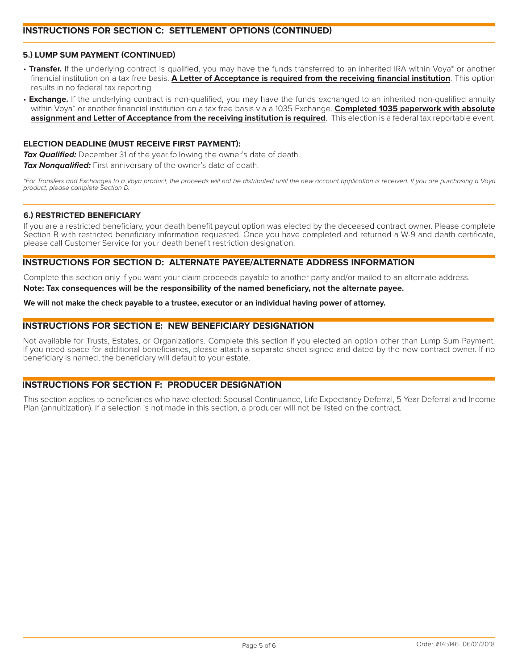# **INSTRUCTIONS FOR SECTION C: SETTLEMENT OPTIONS (CONTINUED)**

### **5.) LUMP SUM PAYMENT (CONTINUED)**

- Transfer. If the underlying contract is qualified, you may have the funds transferred to an inherited IRA within Voya<sup>\*</sup> or another financial institution on a tax free basis. **A Letter of Acceptance is required from the receiving financial institution**. This option results in no federal tax reporting.
- **Exchange.** If the underlying contract is non-qualified, you may have the funds exchanged to an inherited non-qualified annuity within Voya<sup>\*</sup> or another financial institution on a tax free basis via a 1035 Exchange. **Completed 1035 paperwork with absolute assignment and Letter of Acceptance from the receiving institution is required**. This election is a federal tax reportable event.

### **ELECTION DEADLINE (MUST RECEIVE FIRST PAYMENT):**

**Tax Qualified:** December 31 of the year following the owner's date of death. **Tax Nonqualified:** First anniversary of the owner's date of death.

\*For Transfers and Exchanges to a Voya product, the proceeds will not be distributed until the new account application is received. If you are purchasing a Voya product, please complete Section D.

#### **6.) RESTRICTED BENEFICIARY**

If you are a restricted beneficiary, your death benefit payout option was elected by the deceased contract owner. Please complete Section B with restricted beneficiary information requested. Once you have completed and returned a W-9 and death certificate, please call Customer Service for your death benefit restriction designation.

### **INSTRUCTIONS FOR SECTION D: ALTERNATE PAYEE/ALTERNATE ADDRESS INFORMATION**

Complete this section only if you want your claim proceeds payable to another party and/or mailed to an alternate address.

**Note: Tax consequences will be the responsibility of the named beneficiary, not the alternate payee.**

#### **We will not make the check payable to a trustee, executor or an individual having power of attorney.**

### **INSTRUCTIONS FOR SECTION E: NEW BENEFICIARY DESIGNATION**

Not available for Trusts, Estates, or Organizations. Complete this section if you elected an option other than Lump Sum Payment. If you need space for additional beneficiaries, please attach a separate sheet signed and dated by the new contract owner. If no beneficiary is named, the beneficiary will default to your estate.

# **INSTRUCTIONS FOR SECTION F: PRODUCER DESIGNATION**

This section applies to beneficiaries who have elected: Spousal Continuance, Life Expectancy Deferral, 5 Year Deferral and Income Plan (annuitization). If a selection is not made in this section, a producer will not be listed on the contract.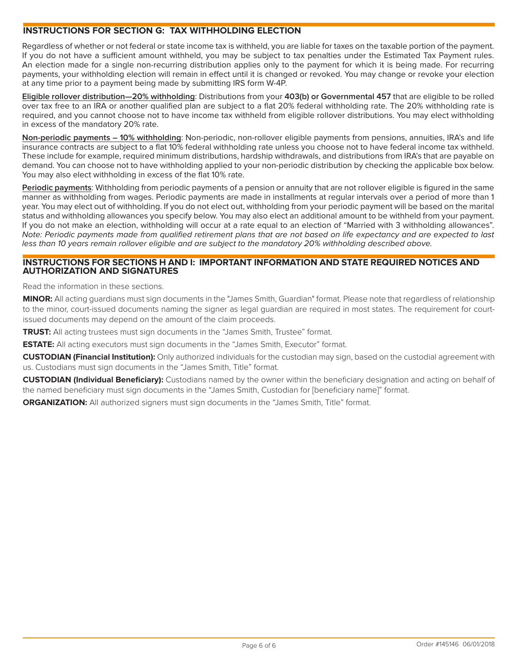# **INSTRUCTIONS FOR SECTION G: TAX WITHHOLDING ELECTION**

Regardless of whether or not federal or state income tax is withheld, you are liable for taxes on the taxable portion of the payment. If you do not have a sufficient amount withheld, you may be subject to tax penalties under the Estimated Tax Payment rules. An election made for a single non-recurring distribution applies only to the payment for which it is being made. For recurring payments, your withholding election will remain in effect until it is changed or revoked. You may change or revoke your election at any time prior to a payment being made by submitting IRS form W-4P.

**Eligible rollover distribution—20% withholding**: Distributions from your **403(b) or Governmental 457** that are eligible to be rolled over tax free to an IRA or another qualified plan are subject to a flat 20% federal withholding rate. The 20% withholding rate is required, and you cannot choose not to have income tax withheld from eligible rollover distributions. You may elect withholding in excess of the mandatory 20% rate.

**Non-periodic payments – 10% withholding**: Non-periodic, non-rollover eligible payments from pensions, annuities, IRA's and life insurance contracts are subject to a flat 10% federal withholding rate unless you choose not to have federal income tax withheld. These include for example, required minimum distributions, hardship withdrawals, and distributions from IRA's that are payable on demand. You can choose not to have withholding applied to your non-periodic distribution by checking the applicable box below. You may also elect withholding in excess of the flat 10% rate.

**Periodic payments**: Withholding from periodic payments of a pension or annuity that are not rollover eligible is figured in the same manner as withholding from wages. Periodic payments are made in installments at regular intervals over a period of more than 1 year. You may elect out of withholding. If you do not elect out, withholding from your periodic payment will be based on the marital status and withholding allowances you specify below. You may also elect an additional amount to be withheld from your payment. If you do not make an election, withholding will occur at a rate equal to an election of "Married with 3 withholding allowances". Note: Periodic payments made from qualified retirement plans that are not based on life expectancy and are expected to last less than 10 years remain rollover eligible and are subject to the mandatory 20% withholding described above.

### **INSTRUCTIONS FOR SECTIONS H AND I: IMPORTANT INFORMATION AND STATE REQUIRED NOTICES AND AUTHORIZATION AND SIGNATURES**

Read the information in these sections.

**MINOR:** All acting quardians must sign documents in the "James Smith, Guardian" format. Please note that regardless of relationship to the minor, court-issued documents naming the signer as legal quardian are required in most states. The requirement for courtissued documents may depend on the amount of the claim proceeds.

**TRUST:** All acting trustees must sign documents in the "James Smith, Trustee" format.

**ESTATE:** All acting executors must sign documents in the "James Smith, Executor" format.

**CUSTODIAN (Financial Institution):** Only authorized individuals for the custodian may sign, based on the custodial agreement with us. Custodians must sign documents in the "James Smith, Title" format.

**CUSTODIAN (Individual Beneficiary):** Custodians named by the owner within the beneficiary designation and acting on behalf of the named beneficiary must sign documents in the "James Smith, Custodian for [beneficiary name]" format.

**ORGANIZATION:** All authorized signers must sign documents in the "James Smith, Title" format.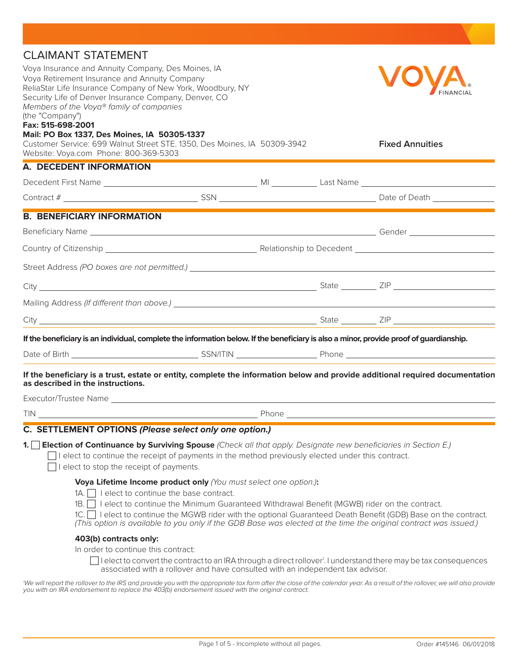| <b>CLAIMANT STATEMENT</b>                                                                                                                                          |                                                                                             |       |  |                                                                                                                                                                                                                                   |
|--------------------------------------------------------------------------------------------------------------------------------------------------------------------|---------------------------------------------------------------------------------------------|-------|--|-----------------------------------------------------------------------------------------------------------------------------------------------------------------------------------------------------------------------------------|
| Voya Insurance and Annuity Company, Des Moines, IA                                                                                                                 |                                                                                             |       |  |                                                                                                                                                                                                                                   |
| Voya Retirement Insurance and Annuity Company                                                                                                                      |                                                                                             |       |  |                                                                                                                                                                                                                                   |
| ReliaStar Life Insurance Company of New York, Woodbury, NY                                                                                                         |                                                                                             |       |  |                                                                                                                                                                                                                                   |
| Security Life of Denver Insurance Company, Denver, CO<br>Members of the Voya® family of companies                                                                  |                                                                                             |       |  |                                                                                                                                                                                                                                   |
| (the "Company")                                                                                                                                                    |                                                                                             |       |  |                                                                                                                                                                                                                                   |
| Fax: 515-698-2001                                                                                                                                                  |                                                                                             |       |  |                                                                                                                                                                                                                                   |
| Mail: PO Box 1337, Des Moines, IA 50305-1337<br>Customer Service: 699 Walnut Street STE. 1350, Des Moines, IA 50309-3942                                           |                                                                                             |       |  | <b>Fixed Annuities</b>                                                                                                                                                                                                            |
| Website: Voya.com Phone: 800-369-5303                                                                                                                              |                                                                                             |       |  |                                                                                                                                                                                                                                   |
| A. DECEDENT INFORMATION                                                                                                                                            |                                                                                             |       |  |                                                                                                                                                                                                                                   |
|                                                                                                                                                                    |                                                                                             |       |  |                                                                                                                                                                                                                                   |
|                                                                                                                                                                    |                                                                                             |       |  |                                                                                                                                                                                                                                   |
| <b>B. BENEFICIARY INFORMATION</b>                                                                                                                                  |                                                                                             |       |  |                                                                                                                                                                                                                                   |
|                                                                                                                                                                    |                                                                                             |       |  |                                                                                                                                                                                                                                   |
|                                                                                                                                                                    |                                                                                             |       |  |                                                                                                                                                                                                                                   |
|                                                                                                                                                                    |                                                                                             |       |  |                                                                                                                                                                                                                                   |
|                                                                                                                                                                    |                                                                                             |       |  |                                                                                                                                                                                                                                   |
|                                                                                                                                                                    |                                                                                             |       |  |                                                                                                                                                                                                                                   |
|                                                                                                                                                                    |                                                                                             |       |  |                                                                                                                                                                                                                                   |
|                                                                                                                                                                    |                                                                                             |       |  |                                                                                                                                                                                                                                   |
| If the beneficiary is an individual, complete the information below. If the beneficiary is also a minor, provide proof of guardianship.                            |                                                                                             |       |  |                                                                                                                                                                                                                                   |
|                                                                                                                                                                    |                                                                                             |       |  |                                                                                                                                                                                                                                   |
| If the beneficiary is a trust, estate or entity, complete the information below and provide additional required documentation<br>as described in the instructions. |                                                                                             |       |  |                                                                                                                                                                                                                                   |
|                                                                                                                                                                    |                                                                                             |       |  |                                                                                                                                                                                                                                   |
| TIN                                                                                                                                                                |                                                                                             | Phone |  |                                                                                                                                                                                                                                   |
| C. SETTLEMENT OPTIONS (Please select only one option.)                                                                                                             |                                                                                             |       |  |                                                                                                                                                                                                                                   |
| 1. Election of Continuance by Surviving Spouse (Check all that apply. Designate new beneficiaries in Section E.)                                                   |                                                                                             |       |  |                                                                                                                                                                                                                                   |
| $\Box$ l elect to continue the receipt of payments in the method previously elected under this contract.                                                           |                                                                                             |       |  |                                                                                                                                                                                                                                   |
| I elect to stop the receipt of payments.                                                                                                                           |                                                                                             |       |  |                                                                                                                                                                                                                                   |
|                                                                                                                                                                    | Voya Lifetime Income product only (You must select one option.):                            |       |  |                                                                                                                                                                                                                                   |
|                                                                                                                                                                    | $1A.$ I elect to continue the base contract.                                                |       |  |                                                                                                                                                                                                                                   |
| 1B.                                                                                                                                                                | I elect to continue the Minimum Guaranteed Withdrawal Benefit (MGWB) rider on the contract. |       |  |                                                                                                                                                                                                                                   |
|                                                                                                                                                                    |                                                                                             |       |  | 1C. I elect to continue the MGWB rider with the optional Guaranteed Death Benefit (GDB) Base on the contract.<br>(This option is available to you only if the GDB Base was elected at the time the original contract was issued.) |
| 403(b) contracts only:                                                                                                                                             |                                                                                             |       |  |                                                                                                                                                                                                                                   |
| In order to continue this contract:                                                                                                                                |                                                                                             |       |  |                                                                                                                                                                                                                                   |
|                                                                                                                                                                    | associated with a rollover and have consulted with an independent tax advisor.              |       |  | $\Box$ I elect to convert the contract to an IRA through a direct rollover'. I understand there may be tax consequences                                                                                                           |

'We will report the rollover to the IRS and provide you with the appropriate tax form after the close of the calendar year. As a result of the rollover, we will also provide you with an IRA endorsement to replace the 403(b) endorsement issued with the original contract.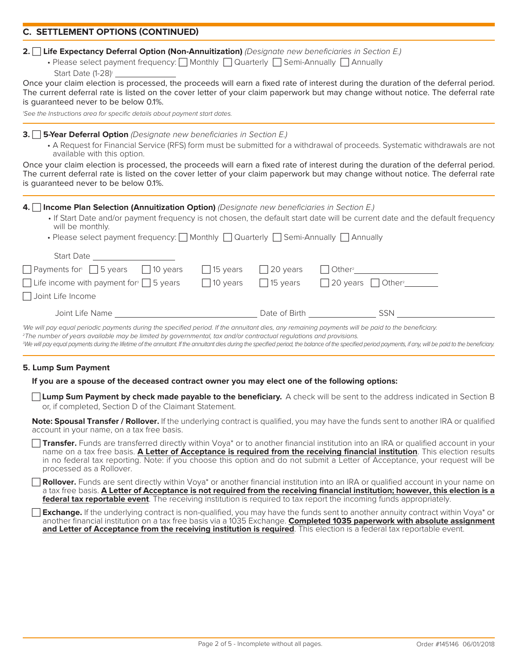# **C. SETTLEMENT OPTIONS (CONTINUED)**

#### **2. Life Expectancy Deferral Option (Non-Annuitization)** (Designate new beneficiaries in Section E.)

• Please select payment frequency:  $\bigcap$  Monthly  $\bigcap$  Quarterly  $\bigcap$  Semi-Annually  $\bigcap$  Annually Start Date (1-28)<sup>1</sup>

Once your claim election is processed, the proceeds will earn a fixed rate of interest during the duration of the deferral period. The current deferral rate is listed on the cover letter of your claim paperwork but may change without notice. The deferral rate is guaranteed never to be below 0.1%.

<sup>1</sup>See the Instructions area for specific details about payment start dates.

#### **3. 5-Year Deferral Option** *(Designate new beneficiaries in Section E.)*

• A Request for Financial Service (RFS) form must be submitted for a withdrawal of proceeds. Systematic withdrawals are not available with this option.

Once your claim election is processed, the proceeds will earn a fixed rate of interest during the duration of the deferral period. The current deferral rate is listed on the cover letter of your claim paperwork but may change without notice. The deferral rate is guaranteed never to be below 0.1%.

### **4. Income Plan Selection (Annuitization Option)** *(Designate new beneficiaries in Section E.)*

• If Start Date and/or payment frequency is not chosen, the default start date will be current date and the default frequency will be monthly.

| • Please select payment frequency: Monthly Quarterly Semi-Annually Annually |                  |                  |                                           |  |
|-----------------------------------------------------------------------------|------------------|------------------|-------------------------------------------|--|
| <b>Start Date</b>                                                           |                  |                  |                                           |  |
| $\Box$ Payments for $\Box$ 5 years $\Box$ 10 years                          | $\vert$ 15 years | $\vert$ 20 years |                                           |  |
| $\Box$ Life income with payment for $\Box$ 5 years                          | $\Box$ 10 years  | $\Box$ 15 years  | $\Box$ 20 years $\Box$ Other <sup>2</sup> |  |
| Joint Life Income                                                           |                  |                  |                                           |  |
| Joint Life Name                                                             |                  | Date of Birth    | <b>SSN</b>                                |  |

<sup>1</sup>We will pay equal periodic payments during the specified period. If the annuitant dies, any remaining payments will be paid to the beneficiary.

<sup>2</sup>The number of years available may be limited by governmental, tax and/or contractual regulations and provisions.

<sup>3</sup>We will pay equal payments during the lifetime of the annuitant. If the annuitant dies during the specified period, the balance of the specified period payments, if any, will be paid to the beneficiary.

### **5. Lump Sum Payment**

#### **If you are a spouse of the deceased contract owner you may elect one of the following options:**

**Lump Sum Payment by check made payable to the beneficiary.** A check will be sent to the address indicated in Section B or, if completed, Section D of the Claimant Statement.

**Note: Spousal Transfer / Rollover.** If the underlying contract is qualified, you may have the funds sent to another IRA or qualified account in your name, on a tax free basis.

□ Transfer. Funds are transferred directly within Voya<sup>\*</sup> or to another financial institution into an IRA or qualified account in your name on a tax free basis. **A Letter of Acceptance is required from the receiving financial institution**. This election results in no federal tax reporting. Note: if you choose this option and do not submit a Letter of Acceptance, your request will be processed as a Rollover.

**Rollover.** Funds are sent directly within Voya\* or another financial institution into an IRA or qualified account in your name on a tax free basis. **A Letter of Acceptance is not required from the receiving financial institution; however, this election is a federal tax reportable event**. The receiving institution is required to tax report the incoming funds appropriately.

**Exchange.** If the underlying contract is non-qualified, you may have the funds sent to another annuity contract within Voya\* or another financial institution on a tax free basis via a 1035 Exchange. **Completed 1035 paperwork with absolute assignment and Letter of Acceptance from the receiving institution is required**. This election is a federal tax reportable event.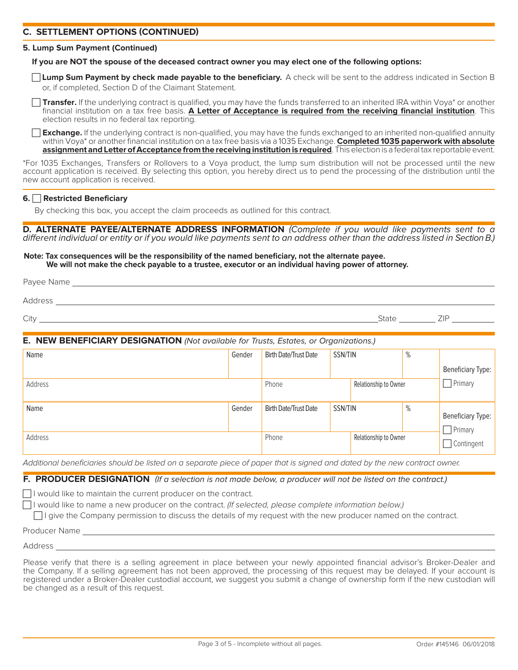# **C. SETTLEMENT OPTIONS (CONTINUED)**

#### **5. Lump Sum Payment (Continued)**

#### **If you are NOT the spouse of the deceased contract owner you may elect one of the following options:**

**Lump Sum Payment by check made payable to the beneficiary.** A check will be sent to the address indicated in Section B or, if completed, Section D of the Claimant Statement.

Transfer. If the underlying contract is qualified, you may have the funds transferred to an inherited IRA within Voya\* or another financial institution on a tax free basis. **A Letter of Acceptance is required from the receiving financial institution**. This election results in no federal tax reporting.

**Exchange.** If the underlying contract is non-qualified, you may have the funds exchanged to an inherited non-qualified annuity within Voya<sup>\*</sup> or another financial institution on a tax free basis via a 1035 Exchange. **Completed 1035 paperwork with absolute assignment and Letter of Acceptance from the receiving institution is required**. This election is a federal tax reportable event.

\*For 1035 Exchanges, Transfers or Rollovers to a Voya product, the lump sum distribution will not be processed until the new account application is received. By selecting this option, you hereby direct us to pend the processing of the distribution until the new account application is received.

#### **6. Restricted Beneficiary**

By checking this box, you accept the claim proceeds as outlined for this contract.

**D. ALTERNATE PAYEE/ALTERNATE ADDRESS INFORMATION** (Complete if you would like payments sent to a different individual or entity or if you would like payments sent to an address other than the address listed in Section B.)

#### **Note: Tax consequences will be the responsibility of the named beneficiary, not the alternate payee. We will not make the check payable to a trustee, executor or an individual having power of attorney.**

| City <u>and the second contract of the second contract of the second contract of the second contract of the second contract of the second contract of the second contract of the second contract of the second contract of the s</u> |        |                              |                       | State | <b>ZIP</b>               |
|--------------------------------------------------------------------------------------------------------------------------------------------------------------------------------------------------------------------------------------|--------|------------------------------|-----------------------|-------|--------------------------|
| E. NEW BENEFICIARY DESIGNATION (Not available for Trusts, Estates, or Organizations.)                                                                                                                                                |        |                              |                       |       |                          |
| Name                                                                                                                                                                                                                                 | Gender | <b>Birth Date/Trust Date</b> | SSN/TIN               | %     |                          |
|                                                                                                                                                                                                                                      |        |                              |                       |       | <b>Beneficiary Type:</b> |
| Address                                                                                                                                                                                                                              |        | Phone                        | Relationship to Owner |       | $\Box$ Primary           |
| Name                                                                                                                                                                                                                                 | Gender | <b>Birth Date/Trust Date</b> | SSN/TIN               | %     |                          |
|                                                                                                                                                                                                                                      |        |                              |                       |       | <b>Beneficiary Type:</b> |
| Address                                                                                                                                                                                                                              |        | Phone                        | Relationship to Owner |       | $\Box$ Primary           |
|                                                                                                                                                                                                                                      |        |                              |                       |       | Contingent               |

Additional beneficiaries should be listed on a separate piece of paper that is signed and dated by the new contract owner.

### **F. PRODUCER DESIGNATION** (If a selection is not made below, a producer will not be listed on the contract.)

 $\Box$  I would like to maintain the current producer on the contract.

 $\Box$ I would like to name a new producer on the contract. (If selected, please complete information below.)

 $\Box$  I give the Company permission to discuss the details of my request with the new producer named on the contract.

Producer Name

Address<sub>\_</sub>

Please verify that there is a selling agreement in place between your newly appointed financial advisor's Broker-Dealer and the Company. If a selling agreement has not been approved, the processing of this request may be delayed. If your account is registered under a Broker-Dealer custodial account, we suggest you submit a change of ownership form if the new custodian will be changed as a result of this request.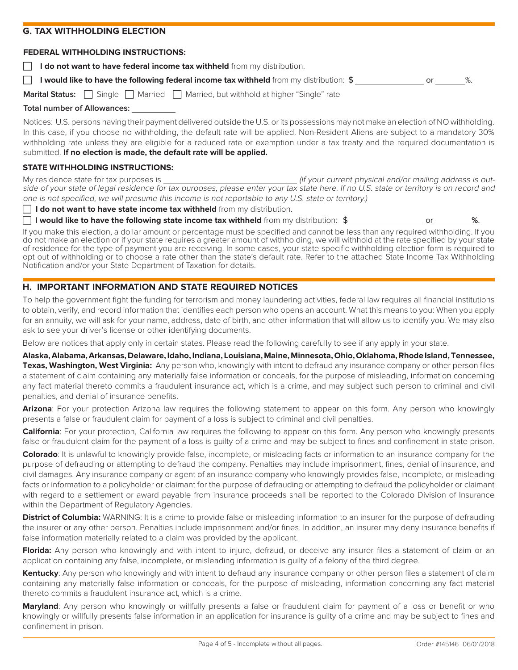### **G. TAX WITHHOLDING ELECTION**

#### **FEDERAL WITHHOLDING INSTRUCTIONS:**

 **I do not want to have federal income tax withheld** from my distribution.

**I would like to have the following federal income tax withheld** from my distribution:  $\frac{1}{3}$  or  $\frac{1}{3}$  or  $\frac{1}{3}$ .

**Marital Status:**  $\Box$  Single  $\Box$  Married  $\Box$  Married, but withhold at higher "Single" rate

### **Total number of Allowances:**

Notices: U.S. persons having their payment delivered outside the U.S. or its possessions may not make an election of NO withholding. In this case, if you choose no withholding, the default rate will be applied. Non-Resident Aliens are subject to a mandatory 30% withholding rate unless they are eligible for a reduced rate or exemption under a tax treaty and the required documentation is submitted. **If no election is made, the default rate will be applied.**

# **STATE WITHHOLDING INSTRUCTIONS:**

My residence state for tax purposes is  $\frac{1}{10}$  and the state of the state of the state of the state of the state of the state of the state of the state of the state of the state of the state of the state of the state of side of your state of legal residence for tax purposes, please enter your tax state here. If no U.S. state or territory is on record and one is not specified, we will presume this income is not reportable to any U.S. state or territory.)

**I do not want to have state income tax withheld** from my distribution.

**I would like to have the following state income tax withheld** from my distribution:  $$$  or  $\%$ .

If you make this election, a dollar amount or percentage must be specified and cannot be less than any required withholding. If you do not make an election or if your state requires a greater amount of withholding, we will withhold at the rate specified by your state of residence for the type of payment you are receiving. In some cases, your state specific withholding election form is required to opt out of withholding or to choose a rate other than the state's default rate. Refer to the attached State Income Tax Withholding Notification and/or your State Department of Taxation for details.

# **H. IMPORTANT INFORMATION AND STATE REQUIRED NOTICES**

To help the government fight the funding for terrorism and money laundering activities, federal law requires all financial institutions to obtain, verify, and record information that identifies each person who opens an account. What this means to you: When you apply for an annuity, we will ask for your name, address, date of birth, and other information that will allow us to identify you. We may also ask to see your driver's license or other identifying documents.

Below are notices that apply only in certain states. Please read the following carefully to see if any apply in your state.

**Alaska, Alabama, Arkansas, Delaware, Idaho, Indiana, Louisiana, Maine, Minnesota, Ohio, Oklahoma, Rhode Island, Tennessee, Texas, Washington, West Virginia:** Any person who, knowingly with intent to defraud any insurance company or other person files a statement of claim containing any materially false information or conceals, for the purpose of misleading, information concerning any fact material thereto commits a fraudulent insurance act, which is a crime, and may subject such person to criminal and civil penalties, and denial of insurance benefits.

Arizona: For your protection Arizona law requires the following statement to appear on this form. Any person who knowingly presents a false or fraudulent claim for payment of a loss is subject to criminal and civil penalties.

**California**: For your protection, California law requires the following to appear on this form. Any person who knowingly presents false or fraudulent claim for the payment of a loss is quilty of a crime and may be subject to fines and confinement in state prison.

**Colorado**: It is unlawful to knowingly provide false, incomplete, or misleading facts or information to an insurance company for the purpose of defrauding or attempting to defraud the company. Penalties may include imprisonment, fines, denial of insurance, and civil damages. Any insurance company or agent of an insurance company who knowingly provides false, incomplete, or misleading facts or information to a policyholder or claimant for the purpose of defrauding or attempting to defraud the policyholder or claimant with regard to a settlement or award payable from insurance proceeds shall be reported to the Colorado Division of Insurance within the Department of Regulatory Agencies.

**District of Columbia:** WARNING: It is a crime to provide false or misleading information to an insurer for the purpose of defrauding the insurer or any other person. Penalties include imprisonment and/or fines. In addition, an insurer may deny insurance benefits if false information materially related to a claim was provided by the applicant.

**Florida:** Any person who knowingly and with intent to injure, defraud, or deceive any insurer files a statement of claim or an application containing any false, incomplete, or misleading information is guilty of a felony of the third degree.

**Kentucky**: Any person who knowingly and with intent to defraud any insurance company or other person files a statement of claim containing any materially false information or conceals, for the purpose of misleading, information concerning any fact material thereto commits a fraudulent insurance act, which is a crime.

**Maryland**: Any person who knowingly or willfully presents a false or fraudulent claim for payment of a loss or benefit or who knowingly or willfully presents false information in an application for insurance is quilty of a crime and may be subject to fines and confinement in prison.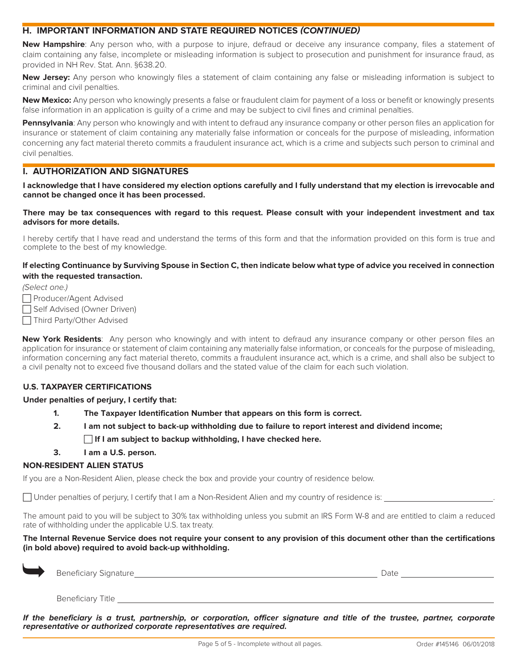# **H. IMPORTANT INFORMATION AND STATE REQUIRED NOTICES (CONTINUED)**

**New Hampshire**: Any person who, with a purpose to injure, defraud or deceive any insurance company, files a statement of claim containing any false, incomplete or misleading information is subject to prosecution and punishment for insurance fraud, as provided in NH Rev. Stat. Ann. §638.20.

**New Jersey:** Any person who knowingly files a statement of claim containing any false or misleading information is subject to criminal and civil penalties.

**New Mexico:** Any person who knowingly presents a false or fraudulent claim for payment of a loss or benefit or knowingly presents false information in an application is quilty of a crime and may be subject to civil fines and criminal penalties.

**Pennsylvania**: Any person who knowingly and with intent to defraud any insurance company or other person files an application for insurance or statement of claim containing any materially false information or conceals for the purpose of misleading, information concerning any fact material thereto commits a fraudulent insurance act, which is a crime and subjects such person to criminal and civil penalties.

### **I. AUTHORIZATION AND SIGNATURES**

**I acknowledge that I have considered my election options carefully and I fully understand that my election is irrevocable and cannot be changed once it has been processed.**

#### **There may be tax consequences with regard to this request. Please consult with your independent investment and tax advisors for more details.**

I hereby certify that I have read and understand the terms of this form and that the information provided on this form is true and complete to the best of my knowledge.

### **If electing Continuance by Surviving Spouse in Section C, then indicate below what type of advice you received in connection with the requested transaction.**

(Select one.)

□ Producer/Agent Advised

□ Self Advised (Owner Driven)

□ Third Party/Other Advised

**New York Residents**: Any person who knowingly and with intent to defraud any insurance company or other person files an application for insurance or statement of claim containing any materially false information, or conceals for the purpose of misleading, information concerning any fact material thereto, commits a fraudulent insurance act, which is a crime, and shall also be subject to a civil penalty not to exceed five thousand dollars and the stated value of the claim for each such violation.

### **U.S. TAXPAYER CERTIFICATIONS**

### **Under penalties of perjury, I certify that:**

- **1. The Taxpayer Identification Number that appears on this form is correct.**
- **2. I am not subject to back-up withholding due to failure to report interest and dividend income; If I am subject to backup withholding, I have checked here.**

#### **3. I am a U.S. person.**

#### **NON-RESIDENT ALIEN STATUS**

If you are a Non-Resident Alien, please check the box and provide your country of residence below.

 $\Box$  Under penalties of perjury, I certify that I am a Non-Resident Alien and my country of residence is:  $\Box$ 

The amount paid to you will be subject to 30% tax withholding unless you submit an IRS Form W-8 and are entitled to claim a reduced rate of withholding under the applicable U.S. tax treaty.

**The Internal Revenue Service does not require your consent to any provision of this document other than the certifications (in bold above) required to avoid back-up withholding.**

| <b>Contract</b> | Beneficiary Signature_ | Date |
|-----------------|------------------------|------|
|                 | Beneficiary Title      |      |

**If the beneficiary is a trust, partnership, or corporation, officer signature and title of the trustee, partner, corporate representative or authorized corporate representatives are required.**